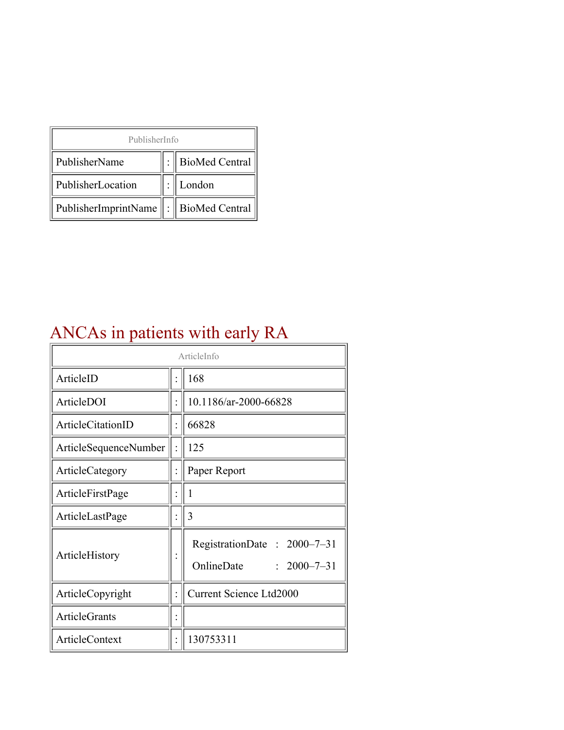| PublisherInfo                               |  |                |  |  |
|---------------------------------------------|--|----------------|--|--|
| PublisherName                               |  | BioMed Central |  |  |
| PublisherLocation                           |  | London         |  |  |
| PublisherImprintName    :    BioMed Central |  |                |  |  |

## ANCAs in patients with early RA

| ArticleInfo           |  |                                                                |  |
|-----------------------|--|----------------------------------------------------------------|--|
| ArticleID             |  | 168                                                            |  |
| ArticleDOI            |  | 10.1186/ar-2000-66828                                          |  |
| ArticleCitationID     |  | 66828                                                          |  |
| ArticleSequenceNumber |  | 125                                                            |  |
| ArticleCategory       |  | Paper Report                                                   |  |
| ArticleFirstPage      |  | I                                                              |  |
| ArticleLastPage       |  | 3                                                              |  |
| ArticleHistory        |  | RegistrationDate: 2000-7-31<br>OnlineDate<br>$: 2000 - 7 - 31$ |  |
| ArticleCopyright      |  | <b>Current Science Ltd2000</b>                                 |  |
| <b>ArticleGrants</b>  |  |                                                                |  |
| ArticleContext        |  | 130753311                                                      |  |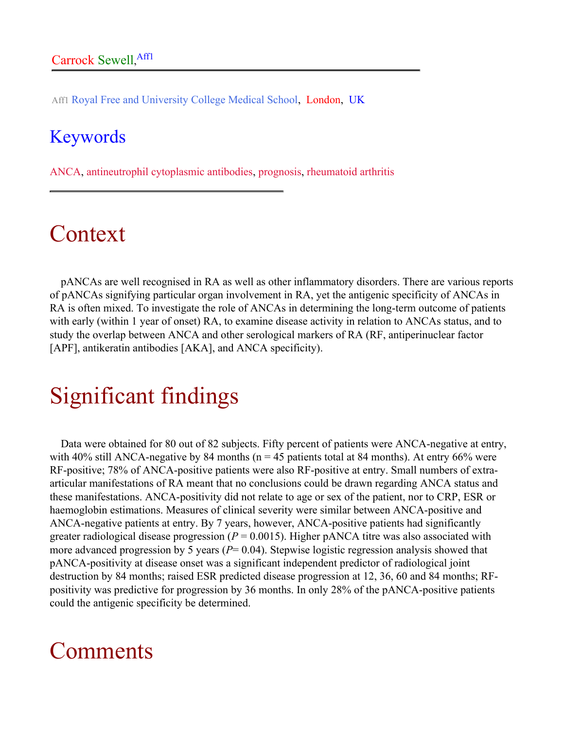Aff1 Royal Free and University College Medical School, London, UK

### Keywords

ANCA, antineutrophil cytoplasmic antibodies, prognosis, rheumatoid arthritis

# Context

pANCAs are well recognised in RA as well as other inflammatory disorders. There are various reports of pANCAs signifying particular organ involvement in RA, yet the antigenic specificity of ANCAs in RA is often mixed. To investigate the role of ANCAs in determining the long-term outcome of patients with early (within 1 year of onset) RA, to examine disease activity in relation to ANCAs status, and to study the overlap between ANCA and other serological markers of RA (RF, antiperinuclear factor [APF], antikeratin antibodies [AKA], and ANCA specificity).

# Significant findings

Data were obtained for 80 out of 82 subjects. Fifty percent of patients were ANCA-negative at entry, with 40% still ANCA-negative by 84 months ( $n = 45$  patients total at 84 months). At entry 66% were RF-positive; 78% of ANCA-positive patients were also RF-positive at entry. Small numbers of extraarticular manifestations of RA meant that no conclusions could be drawn regarding ANCA status and these manifestations. ANCA-positivity did not relate to age or sex of the patient, nor to CRP, ESR or haemoglobin estimations. Measures of clinical severity were similar between ANCA-positive and ANCA-negative patients at entry. By 7 years, however, ANCA-positive patients had significantly greater radiological disease progression ( $P = 0.0015$ ). Higher pANCA titre was also associated with more advanced progression by 5 years (*P*= 0.04). Stepwise logistic regression analysis showed that pANCA-positivity at disease onset was a significant independent predictor of radiological joint destruction by 84 months; raised ESR predicted disease progression at 12, 36, 60 and 84 months; RFpositivity was predictive for progression by 36 months. In only 28% of the pANCA-positive patients could the antigenic specificity be determined.

## **Comments**